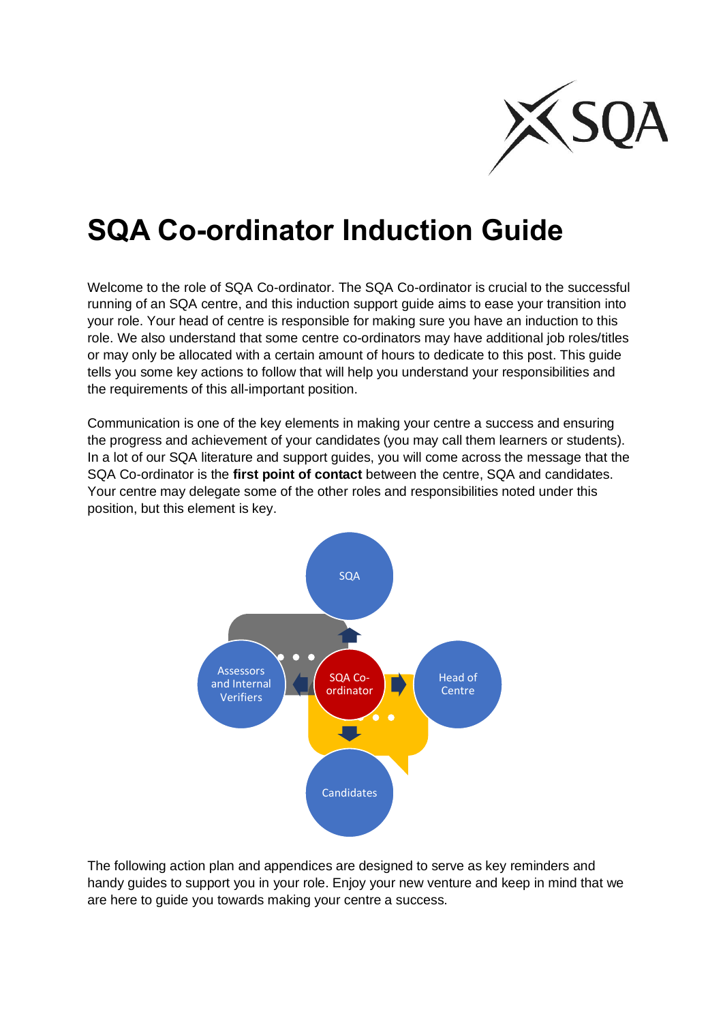

## **SQA Co-ordinator Induction Guide**

Welcome to the role of SQA Co-ordinator. The SQA Co-ordinator is crucial to the successful running of an SQA centre, and this induction support guide aims to ease your transition into your role. Your head of centre is responsible for making sure you have an induction to this role. We also understand that some centre co-ordinators may have additional job roles/titles or may only be allocated with a certain amount of hours to dedicate to this post. This guide tells you some key actions to follow that will help you understand your responsibilities and the requirements of this all-important position.

Communication is one of the key elements in making your centre a success and ensuring the progress and achievement of your candidates (you may call them learners or students). In a lot of our SQA literature and support guides, you will come across the message that the SQA Co-ordinator is the **first point of contact** between the centre, SQA and candidates. Your centre may delegate some of the other roles and responsibilities noted under this position, but this element is key.



The following action plan and appendices are designed to serve as key reminders and handy guides to support you in your role. Enjoy your new venture and keep in mind that we are here to guide you towards making your centre a success.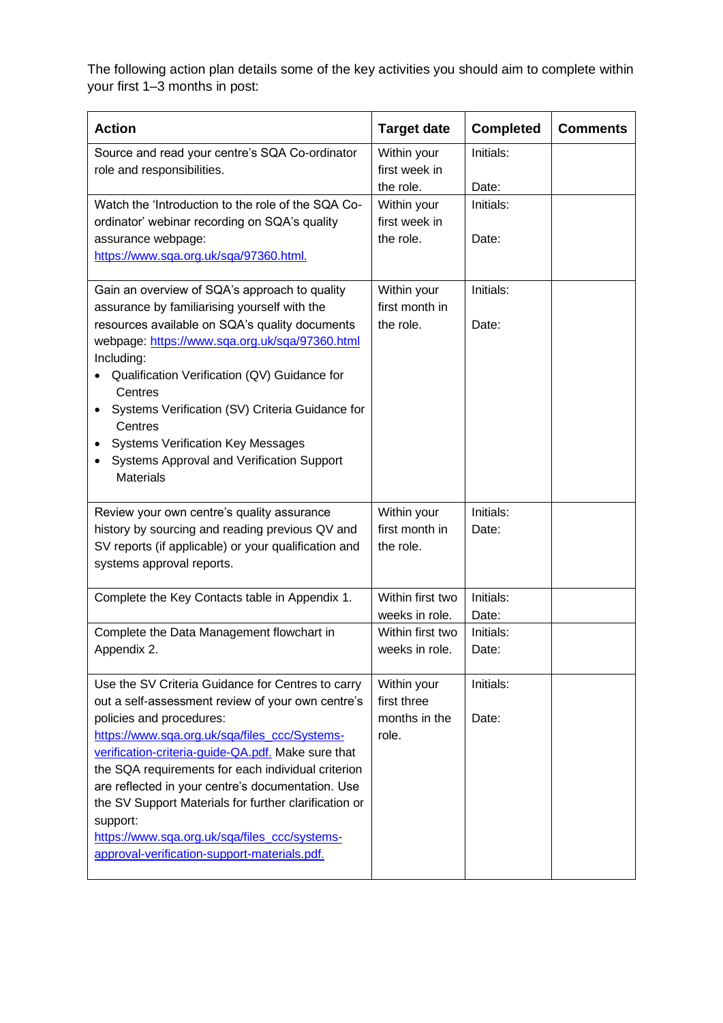The following action plan details some of the key activities you should aim to complete within your first 1–3 months in post:

| <b>Action</b>                                                                                                                                                                                                                                                                                                                                                                                                                                                                                                              | <b>Target date</b>                                                       | <b>Completed</b>                         | <b>Comments</b> |
|----------------------------------------------------------------------------------------------------------------------------------------------------------------------------------------------------------------------------------------------------------------------------------------------------------------------------------------------------------------------------------------------------------------------------------------------------------------------------------------------------------------------------|--------------------------------------------------------------------------|------------------------------------------|-----------------|
| Source and read your centre's SQA Co-ordinator<br>role and responsibilities.                                                                                                                                                                                                                                                                                                                                                                                                                                               | Within your<br>first week in<br>the role.                                | Initials:<br>Date:                       |                 |
| Watch the 'Introduction to the role of the SQA Co-<br>ordinator' webinar recording on SQA's quality<br>assurance webpage:<br>https://www.sqa.org.uk/sqa/97360.html.                                                                                                                                                                                                                                                                                                                                                        | Within your<br>first week in<br>the role.                                | Initials:<br>Date:                       |                 |
| Gain an overview of SQA's approach to quality<br>assurance by familiarising yourself with the<br>resources available on SQA's quality documents<br>webpage: https://www.sqa.org.uk/sqa/97360.html<br>Including:<br>Qualification Verification (QV) Guidance for<br>Centres<br>Systems Verification (SV) Criteria Guidance for<br>$\bullet$<br>Centres<br><b>Systems Verification Key Messages</b><br>Systems Approval and Verification Support<br>$\bullet$<br><b>Materials</b>                                            | Within your<br>first month in<br>the role.                               | Initials:<br>Date:                       |                 |
| Review your own centre's quality assurance<br>history by sourcing and reading previous QV and<br>SV reports (if applicable) or your qualification and<br>systems approval reports.                                                                                                                                                                                                                                                                                                                                         | Within your<br>first month in<br>the role.                               | Initials:<br>Date:                       |                 |
| Complete the Key Contacts table in Appendix 1.<br>Complete the Data Management flowchart in<br>Appendix 2.                                                                                                                                                                                                                                                                                                                                                                                                                 | Within first two<br>weeks in role.<br>Within first two<br>weeks in role. | Initials:<br>Date:<br>Initials:<br>Date: |                 |
| Use the SV Criteria Guidance for Centres to carry<br>out a self-assessment review of your own centre's<br>policies and procedures:<br>https://www.sqa.org.uk/sqa/files_ccc/Systems-<br>verification-criteria-guide-QA.pdf. Make sure that<br>the SQA requirements for each individual criterion<br>are reflected in your centre's documentation. Use<br>the SV Support Materials for further clarification or<br>support:<br>https://www.sqa.org.uk/sqa/files_ccc/systems-<br>approval-verification-support-materials.pdf. | Within your<br>first three<br>months in the<br>role.                     | Initials:<br>Date:                       |                 |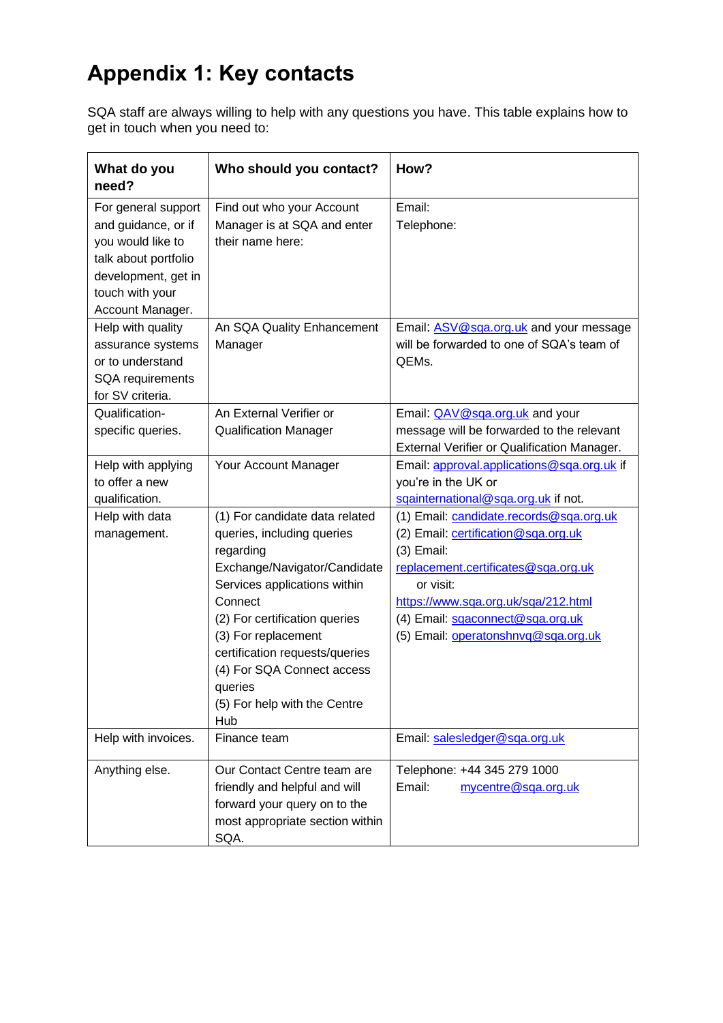## **Appendix 1: Key contacts**

SQA staff are always willing to help with any questions you have. This table explains how to get in touch when you need to:

| What do you<br>need?                                                                                                                                  | Who should you contact?                                                                                                                                                                                                                                                                                                        | How?                                                                                                                                                                                                                                                                 |
|-------------------------------------------------------------------------------------------------------------------------------------------------------|--------------------------------------------------------------------------------------------------------------------------------------------------------------------------------------------------------------------------------------------------------------------------------------------------------------------------------|----------------------------------------------------------------------------------------------------------------------------------------------------------------------------------------------------------------------------------------------------------------------|
| For general support<br>and guidance, or if<br>you would like to<br>talk about portfolio<br>development, get in<br>touch with your<br>Account Manager. | Find out who your Account<br>Manager is at SQA and enter<br>their name here:                                                                                                                                                                                                                                                   | Email:<br>Telephone:                                                                                                                                                                                                                                                 |
| Help with quality<br>assurance systems<br>or to understand<br>SQA requirements<br>for SV criteria.                                                    | An SQA Quality Enhancement<br>Manager                                                                                                                                                                                                                                                                                          | Email: ASV@sga.org.uk and your message<br>will be forwarded to one of SQA's team of<br>QEMs.                                                                                                                                                                         |
| Qualification-<br>specific queries.                                                                                                                   | An External Verifier or<br><b>Qualification Manager</b>                                                                                                                                                                                                                                                                        | Email: QAV@sqa.org.uk and your<br>message will be forwarded to the relevant<br>External Verifier or Qualification Manager.                                                                                                                                           |
| Help with applying<br>to offer a new<br>qualification.                                                                                                | Your Account Manager                                                                                                                                                                                                                                                                                                           | Email: approval.applications@sqa.org.uk if<br>you're in the UK or<br>sqainternational@sqa.org.uk if not.                                                                                                                                                             |
| Help with data<br>management.                                                                                                                         | (1) For candidate data related<br>queries, including queries<br>regarding<br>Exchange/Navigator/Candidate<br>Services applications within<br>Connect<br>(2) For certification queries<br>(3) For replacement<br>certification requests/queries<br>(4) For SQA Connect access<br>queries<br>(5) For help with the Centre<br>Hub | (1) Email: candidate.records@sqa.org.uk<br>(2) Email: certification@sqa.org.uk<br>$(3)$ Email:<br>replacement.certificates@sqa.org.uk<br>or visit:<br>https://www.sqa.org.uk/sqa/212.html<br>(4) Email: sqaconnect@sqa.org.uk<br>(5) Email: operatonshnvq@sqa.org.uk |
| Help with invoices.                                                                                                                                   | Finance team                                                                                                                                                                                                                                                                                                                   | Email: salesledger@sqa.org.uk                                                                                                                                                                                                                                        |
| Anything else.                                                                                                                                        | Our Contact Centre team are<br>friendly and helpful and will<br>forward your query on to the<br>most appropriate section within<br>SQA.                                                                                                                                                                                        | Telephone: +44 345 279 1000<br>Email:<br>mycentre@sqa.org.uk                                                                                                                                                                                                         |